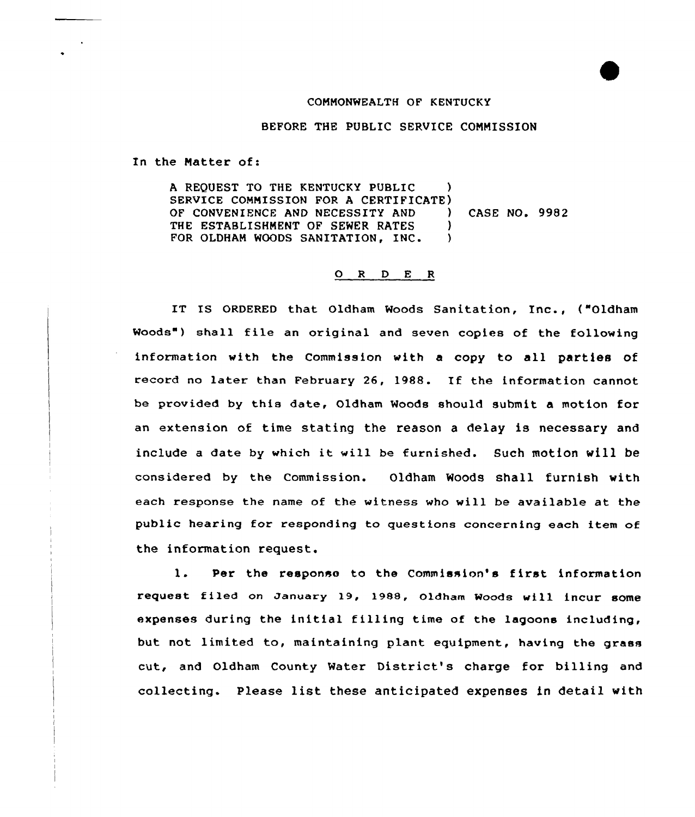## COMMONWEALTH OF KENTUCKY

## BEFORE THE PUBLIC SERVICE COMMISSION

In the Matter of:

A REQUEST TO THE KENTUCKY PUBLIC SERVICE COMMISSION FOR A CERTIFICATE)<br>OF CONVENIENCE AND NECESSITY AND OF CONVENIENCE AND NECESSITY AND ) CASE NO. 9982 THE ESTABLISHMENT OF SEWER RATES (1) FOR OLDHAM WOODS SANITATION, INC.

## O R D E R

IT IS ORDERED that Oldham Woods Sanitation, Inc., ("Oldham Woods") shall file an original and seven copies of the following information with the Commission with a copy to all parties of record no later than February 26, 1988. If the information cannot be provided by this date, Oldham Woods should submit a motion for an extension of time stating the reason a delay is necessary and include <sup>a</sup> date by which it will be furnished. Such motion will be considered by the Commission. Oldham Woods shall furnish with each response the name of the witness who will be available at the public hearing for responding to questions concerning each item of the information request.

1. Per the response to the Commission's f irst information request filed on January 19, 1988, Oldham Woods will incur some expenses during the initial filling time of the lagoons including, but not limited to, maintaining plant equipment, having the grass cut, and Oldham County Water District's charge for billing and collecting. Please list these anticipated expenses in detail with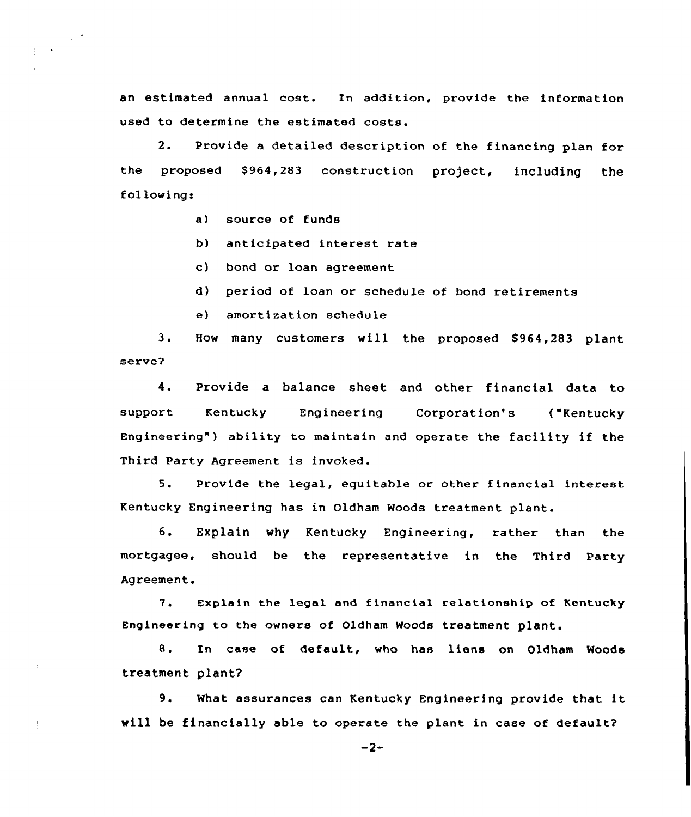an estimated annual cost. In addition, provide the information used to determine the estimated costs.

2. Provide a detailed description of the financing plan for the proposed \$964,283 construction project, including the following:

a) source of funds

 $\sim$   $^{\prime}$ 

- b) anticipated interest rate
- c) bond or loan agreement
- d) period of loan or schedule of bond retirements
- e) amortization schedule

3. How many customers will the proposed \$964,283 plant serve2

4. Provide a balance sheet and other financial data to support Kentucky Engineering Corporation's ("Kentucky Engineering") ability to maintain and operate the facility if the Third Party Agreement is invoked.

5. Provide the legal, equitable or other financial interest Kentucky Engineering has in Oldham Woods treatment plant.

6. Explain why Kentucky Engineering, rather than the mortgagee, should be the representative in the Third Party Agreement.

7. Explain the legal and financial relationship of Kentucky Engineering to the owners of Oldham Woods treatment plant.

8. In case of default, who has liens on Oldham Woods treatment plant?

9. What assurances can Kentucky Engineering provide that it will be financially able to operate the plant in case of default?

 $-2-$